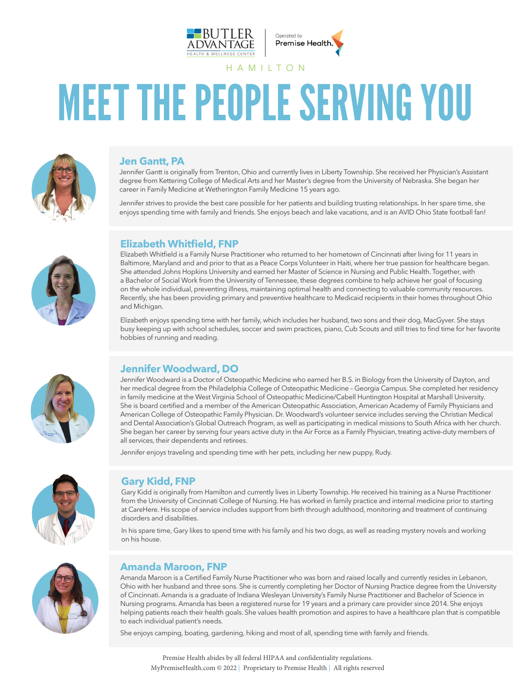



# MEET THE PEOPLE SERVING YOU

HAMILTON



#### **Jen Gantt, PA**

Jennifer Gantt is originally from Trenton, Ohio and currently lives in Liberty Township. She received her Physician's Assistant degree from Kettering College of Medical Arts and her Master's degree from the University of Nebraska. She began her career in Family Medicine at Wetherington Family Medicine 15 years ago.

Jennifer strives to provide the best care possible for her patients and building trusting relationships. In her spare time, she enjoys spending time with family and friends. She enjoys beach and lake vacations, and is an AVID Ohio State football fan!



## **Elizabeth Whitfield, FNP**

Elizabeth Whitfield is a Family Nurse Practitioner who returned to her hometown of Cincinnati after living for 11 years in Baltimore, Maryland and and prior to that as a Peace Corps Volunteer in Haiti, where her true passion for healthcare began. She attended Johns Hopkins University and earned her Master of Science in Nursing and Public Health. Together, with a Bachelor of Social Work from the University of Tennessee, these degrees combine to help achieve her goal of focusing on the whole individual, preventing illness, maintaining optimal health and connecting to valuable community resources. Recently, she has been providing primary and preventive healthcare to Medicaid recipients in their homes throughout Ohio and Michigan.

Elizabeth enjoys spending time with her family, which includes her husband, two sons and their dog, MacGyver. She stays busy keeping up with school schedules, soccer and swim practices, piano, Cub Scouts and still tries to find time for her favorite hobbies of running and reading.



### **Jennifer Woodward, DO**

Jennifer Woodward is a Doctor of Osteopathic Medicine who earned her B.S. in Biology from the University of Dayton, and her medical degree from the Philadelphia College of Osteopathic Medicine – Georgia Campus. She completed her residency in family medicine at the West Virginia School of Osteopathic Medicine/Cabell Huntington Hospital at Marshall University. She is board certified and a member of the American Osteopathic Association, American Academy of Family Physicians and American College of Osteopathic Family Physician. Dr. Woodward's volunteer service includes serving the Christian Medical and Dental Association's Global Outreach Program, as well as participating in medical missions to South Africa with her church. She began her career by serving four years active duty in the Air Force as a Family Physician, treating active-duty members of all services, their dependents and retirees.

Jennifer enjoys traveling and spending time with her pets, including her new puppy, Rudy.



#### **Gary Kidd, FNP**

Gary Kidd is originally from Hamilton and currently lives in Liberty Township. He received his training as a Nurse Practitioner from the University of Cincinnati College of Nursing. He has worked in family practice and internal medicine prior to starting at CareHere. His scope of service includes support from birth through adulthood, monitoring and treatment of continuing disorders and disabilities.

In his spare time, Gary likes to spend time with his family and his two dogs, as well as reading mystery novels and working on his house.



#### **Amanda Maroon, FNP**

Amanda Maroon is a Certified Family Nurse Practitioner who was born and raised locally and currently resides in Lebanon, Ohio with her husband and three sons. She is currently completing her Doctor of Nursing Practice degree from the University of Cincinnati. Amanda is a graduate of Indiana Wesleyan University's Family Nurse Practitioner and Bachelor of Science in Nursing programs. Amanda has been a registered nurse for 19 years and a primary care provider since 2014. She enjoys helping patients reach their health goals. She values health promotion and aspires to have a healthcare plan that is compatible to each individual patient's needs.

She enjoys camping, boating, gardening, hiking and most of all, spending time with family and friends.